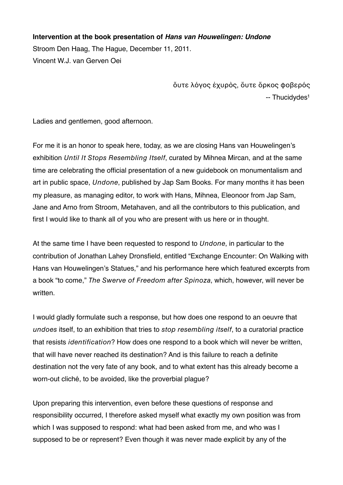**Intervention at the book presentation of** *Hans van Houwelingen: Undone* Stroom Den Haag, The Hague, December 11, 2011. Vincent W.J. van Gerven Oei

> ὄυτε λόγος ἐχυρὸς, ὄυτε ὅρκος φοβερός -- Thucidydes<sup>1</sup>

Ladies and gentlemen, good afternoon.

For me it is an honor to speak here, today, as we are closing Hans van Houwelingen's exhibition Until It Stops Resembling Itself, curated by Mihnea Mircan, and at the same time are celebrating the official presentation of a new guidebook on monumentalism and art in public space, Undone, published by Jap Sam Books. For many months it has been my pleasure, as managing editor, to work with Hans, Mihnea, Eleonoor from Jap Sam, Jane and Arno from Stroom, Metahaven, and all the contributors to this publication, and first I would like to thank all of you who are present with us here or in thought.

At the same time I have been requested to respond to Undone, in particular to the contribution of Jonathan Lahey Dronsfield, entitled "Exchange Encounter: On Walking with Hans van Houwelingen's Statues," and his performance here which featured excerpts from a book "to come," The Swerve of Freedom after Spinoza, which, however, will never be written.

I would gladly formulate such a response, but how does one respond to an oeuvre that undoes itself, to an exhibition that tries to stop resembling itself, to a curatorial practice that resists identification? How does one respond to a book which will never be written, that will have never reached its destination? And is this failure to reach a definite destination not the very fate of any book, and to what extent has this already become a worn-out cliché, to be avoided, like the proverbial plague?

Upon preparing this intervention, even before these questions of response and responsibility occurred, I therefore asked myself what exactly my own position was from which I was supposed to respond: what had been asked from me, and who was I supposed to be or represent? Even though it was never made explicit by any of the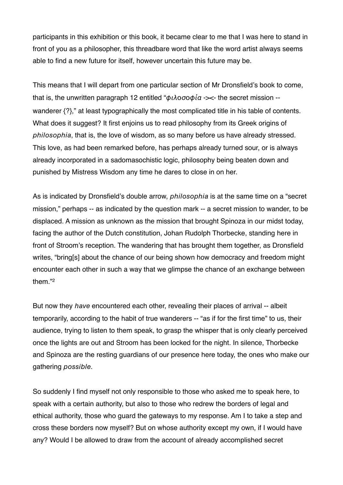participants in this exhibition or this book, it became clear to me that I was here to stand in front of you as a philosopher, this threadbare word that like the word artist always seems able to find a new future for itself, however uncertain this future may be.

This means that I will depart from one particular section of Mr Dronsfield's book to come, that is, the unwritten paragraph 12 entitled " $\phi \iota \lambda$  oo  $\phi \iota \alpha \rightarrow \leq 1$  the secret mission -wanderer  $\{?\}$ ," at least typographically the most complicated title in his table of contents. What does it suggest? It first enjoins us to read philosophy from its Greek origins of philosophia, that is, the love of wisdom, as so many before us have already stressed. This love, as had been remarked before, has perhaps already turned sour, or is always already incorporated in a sadomasochistic logic, philosophy being beaten down and punished by Mistress Wisdom any time he dares to close in on her.

As is indicated by Dronsfield's double arrow, *philosophia* is at the same time on a "secret mission," perhaps -- as indicated by the question mark -- a secret mission to wander, to be displaced. A mission as unknown as the mission that brought Spinoza in our midst today, facing the author of the Dutch constitution, Johan Rudolph Thorbecke, standing here in front of Stroom's reception. The wandering that has brought them together, as Dronsfield writes, "bring[s] about the chance of our being shown how democracy and freedom might encounter each other in such a way that we glimpse the chance of an exchange between them."[2](#page-10-1)

But now they have encountered each other, revealing their places of arrival -- albeit temporarily, according to the habit of true wanderers -- "as if for the first time" to us, their audience, trying to listen to them speak, to grasp the whisper that is only clearly perceived once the lights are out and Stroom has been locked for the night. In silence, Thorbecke and Spinoza are the resting guardians of our presence here today, the ones who make our gathering possible.

So suddenly I find myself not only responsible to those who asked me to speak here, to speak with a certain authority, but also to those who redrew the borders of legal and ethical authority, those who guard the gateways to my response. Am I to take a step and cross these borders now myself? But on whose authority except my own, if I would have any? Would I be allowed to draw from the account of already accomplished secret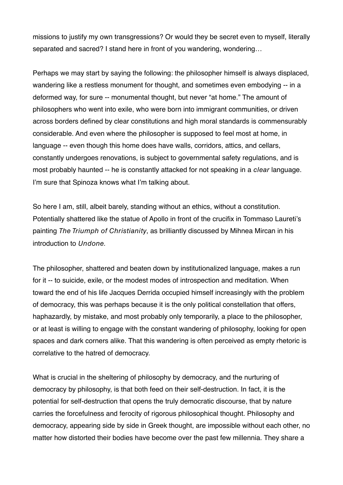missions to justify my own transgressions? Or would they be secret even to myself, literally separated and sacred? I stand here in front of you wandering, wondering…

Perhaps we may start by saying the following: the philosopher himself is always displaced, wandering like a restless monument for thought, and sometimes even embodying -- in a deformed way, for sure -- monumental thought, but never "at home." The amount of philosophers who went into exile, who were born into immigrant communities, or driven across borders defined by clear constitutions and high moral standards is commensurably considerable. And even where the philosopher is supposed to feel most at home, in language -- even though this home does have walls, corridors, attics, and cellars, constantly undergoes renovations, is subject to governmental safety regulations, and is most probably haunted -- he is constantly attacked for not speaking in a clear language. I'm sure that Spinoza knows what I'm talking about.

So here I am, still, albeit barely, standing without an ethics, without a constitution. Potentially shattered like the statue of Apollo in front of the crucifix in Tommaso Laureti's painting The Triumph of Christianity, as brilliantly discussed by Mihnea Mircan in his introduction to Undone.

The philosopher, shattered and beaten down by institutionalized language, makes a run for it -- to suicide, exile, or the modest modes of introspection and meditation. When toward the end of his life Jacques Derrida occupied himself increasingly with the problem of democracy, this was perhaps because it is the only political constellation that offers, haphazardly, by mistake, and most probably only temporarily, a place to the philosopher, or at least is willing to engage with the constant wandering of philosophy, looking for open spaces and dark corners alike. That this wandering is often perceived as empty rhetoric is correlative to the hatred of democracy.

What is crucial in the sheltering of philosophy by democracy, and the nurturing of democracy by philosophy, is that both feed on their self-destruction. In fact, it is the potential for self-destruction that opens the truly democratic discourse, that by nature carries the forcefulness and ferocity of rigorous philosophical thought. Philosophy and democracy, appearing side by side in Greek thought, are impossible without each other, no matter how distorted their bodies have become over the past few millennia. They share a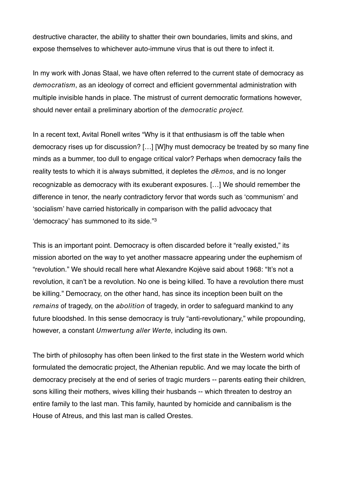destructive character, the ability to shatter their own boundaries, limits and skins, and expose themselves to whichever auto-immune virus that is out there to infect it.

In my work with Jonas Staal, we have often referred to the current state of democracy as democratism, as an ideology of correct and efficient governmental administration with multiple invisible hands in place. The mistrust of current democratic formations however, should never entail a preliminary abortion of the democratic project.

In a recent text, Avital Ronell writes "Why is it that enthusiasm is off the table when democracy rises up for discussion? […] [W]hy must democracy be treated by so many fine minds as a bummer, too dull to engage critical valor? Perhaps when democracy fails the reality tests to which it is always submitted, it depletes the  $d\bar{e}mos$ , and is no longer recognizable as democracy with its exuberant exposures. […] We should remember the difference in tenor, the nearly contradictory fervor that words such as ʻcommunism' and ʻsocialism' have carried historically in comparison with the pallid advocacy that ʻdemocracy' has summoned to its side."[3](#page-10-2)

This is an important point. Democracy is often discarded before it "really existed," its mission aborted on the way to yet another massacre appearing under the euphemism of "revolution." We should recall here what Alexandre Kojève said about 1968: "It's not a revolution, it can't be a revolution. No one is being killed. To have a revolution there must be killing." Democracy, on the other hand, has since its inception been built on the remains of tragedy, on the abolition of tragedy, in order to safeguard mankind to any future bloodshed. In this sense democracy is truly "anti-revolutionary," while propounding, however, a constant Umwertung aller Werte, including its own.

The birth of philosophy has often been linked to the first state in the Western world which formulated the democratic project, the Athenian republic. And we may locate the birth of democracy precisely at the end of series of tragic murders -- parents eating their children, sons killing their mothers, wives killing their husbands -- which threaten to destroy an entire family to the last man. This family, haunted by homicide and cannibalism is the House of Atreus, and this last man is called Orestes.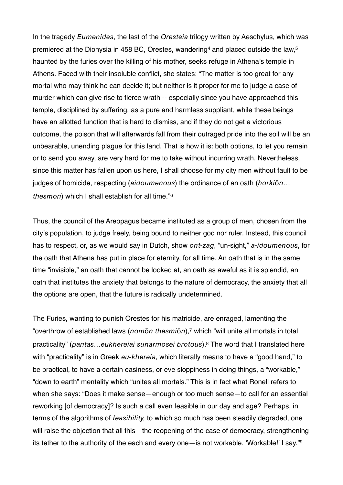In the tragedy *Eumenides*, the last of the Oresteia trilogy written by Aeschylus, which was premiered at the Dionysia in 4[5](#page-10-4)8 BC, Orestes, wandering<sup>4</sup> and placed outside the law,<sup>5</sup> haunted by the furies over the killing of his mother, seeks refuge in Athena's temple in Athens. Faced with their insoluble conflict, she states: "The matter is too great for any mortal who may think he can decide it; but neither is it proper for me to judge a case of murder which can give rise to fierce wrath -- especially since you have approached this temple, disciplined by suffering, as a pure and harmless suppliant, while these beings have an allotted function that is hard to dismiss, and if they do not get a victorious outcome, the poison that will afterwards fall from their outraged pride into the soil will be an unbearable, unending plague for this land. That is how it is: both options, to let you remain or to send you away, are very hard for me to take without incurring wrath. Nevertheless, since this matter has fallen upon us here, I shall choose for my city men without fault to be judges of homicide, respecting (aidoumenous) the ordinance of an oath (horkion... thesmon) which I shall establish for all time."[6](#page-10-5)

Thus, the council of the Areopagus became instituted as a group of men, chosen from the city's population, to judge freely, being bound to neither god nor ruler. Instead, this council has to respect, or, as we would say in Dutch, show ont-zag, "un-sight," a-idoumenous, for the oath that Athena has put in place for eternity, for all time. An oath that is in the same time "invisible," an oath that cannot be looked at, an oath as aweful as it is splendid, an oath that institutes the anxiety that belongs to the nature of democracy, the anxiety that all the options are open, that the future is radically undetermined.

The Furies, wanting to punish Orestes for his matricide, are enraged, lamenting the "overthrow of established laws (nomōn thesmiōn),[7](#page-10-6) which "will unite all mortals in total practicality" (pantas…eukhereiai sunarmosei brotous)[.8](#page-10-7) The word that I translated here with "practicality" is in Greek eu-khereia, which literally means to have a "good hand," to be practical, to have a certain easiness, or eve sloppiness in doing things, a "workable," "down to earth" mentality which "unites all mortals." This is in fact what Ronell refers to when she says: "Does it make sense—enough or too much sense—to call for an essential reworking [of democracy]? Is such a call even feasible in our day and age? Perhaps, in terms of the algorithms of feasibility, to which so much has been steadily degraded, one will raise the objection that all this—the reopening of the case of democracy, strengthening its tether to the authority of the each and every one—is not workable. ʻWorkable!' I say."[9](#page-10-8)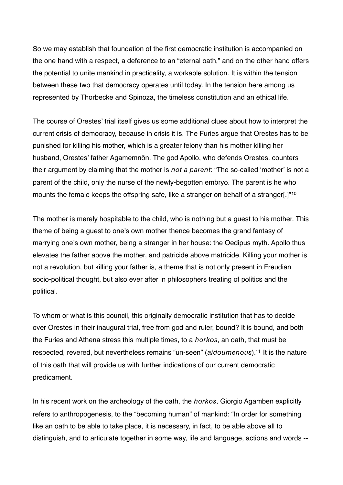So we may establish that foundation of the first democratic institution is accompanied on the one hand with a respect, a deference to an "eternal oath," and on the other hand offers the potential to unite mankind in practicality, a workable solution. It is within the tension between these two that democracy operates until today. In the tension here among us represented by Thorbecke and Spinoza, the timeless constitution and an ethical life.

The course of Orestes' trial itself gives us some additional clues about how to interpret the current crisis of democracy, because in crisis it is. The Furies argue that Orestes has to be punished for killing his mother, which is a greater felony than his mother killing her husband, Orestes' father Agamemnōn. The god Apollo, who defends Orestes, counters their argument by claiming that the mother is not a parent: "The so-called 'mother' is not a parent of the child, only the nurse of the newly-begotten embryo. The parent is he who mounts the female keeps the offspring safe, like a stranger on behalf of a stranger[.]"[10](#page-10-9)

The mother is merely hospitable to the child, who is nothing but a guest to his mother. This theme of being a guest to one's own mother thence becomes the grand fantasy of marrying one's own mother, being a stranger in her house: the Oedipus myth. Apollo thus elevates the father above the mother, and patricide above matricide. Killing your mother is not a revolution, but killing your father is, a theme that is not only present in Freudian socio-political thought, but also ever after in philosophers treating of politics and the political.

To whom or what is this council, this originally democratic institution that has to decide over Orestes in their inaugural trial, free from god and ruler, bound? It is bound, and both the Furies and Athena stress this multiple times, to a horkos, an oath, that must be respected, revered, but nevertheless remains "un-seen" (aidoumenous)[.11](#page-10-10) It is the nature of this oath that will provide us with further indications of our current democratic predicament.

In his recent work on the archeology of the oath, the *horkos*, Giorgio Agamben explicitly refers to anthropogenesis, to the "becoming human" of mankind: "In order for something like an oath to be able to take place, it is necessary, in fact, to be able above all to distinguish, and to articulate together in some way, life and language, actions and words --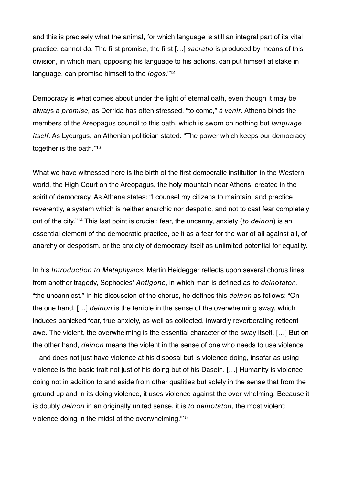and this is precisely what the animal, for which language is still an integral part of its vital practice, cannot do. The first promise, the first […] sacratio is produced by means of this division, in which man, opposing his language to his actions, can put himself at stake in language, can promise himself to the *logos*."<sup>[12](#page-10-11)</sup>

Democracy is what comes about under the light of eternal oath, even though it may be always a promise, as Derrida has often stressed, "to come," à venir. Athena binds the members of the Areopagus council to this oath, which is sworn on nothing but *language* itself. As Lycurgus, an Athenian politician stated: "The power which keeps our democracy together is the oath."<sup>[13](#page-10-12)</sup>

What we have witnessed here is the birth of the first democratic institution in the Western world, the High Court on the Areopagus, the holy mountain near Athens, created in the spirit of democracy. As Athena states: "I counsel my citizens to maintain, and practice reverently, a system which is neither anarchic nor despotic, and not to cast fear completely out of the city."<sup>14</sup> This last point is crucial: fear, the uncanny, anxiety (to deinon) is an essential element of the democratic practice, be it as a fear for the war of all against all, of anarchy or despotism, or the anxiety of democracy itself as unlimited potential for equality.

In his Introduction to Metaphysics, Martin Heidegger reflects upon several chorus lines from another tragedy, Sophocles' Antigone, in which man is defined as to deinotaton, "the uncanniest." In his discussion of the chorus, he defines this deinon as follows: "On the one hand, […] deinon is the terrible in the sense of the overwhelming sway, which induces panicked fear, true anxiety, as well as collected, inwardly reverberating reticent awe. The violent, the overwhelming is the essential character of the sway itself. […] But on the other hand, deinon means the violent in the sense of one who needs to use violence -- and does not just have violence at his disposal but is violence-doing, insofar as using violence is the basic trait not just of his doing but of his Dasein. […] Humanity is violencedoing not in addition to and aside from other qualities but solely in the sense that from the ground up and in its doing violence, it uses violence against the over-whelming. Because it is doubly deinon in an originally united sense, it is to deinotaton, the most violent: violence-doing in the midst of the overwhelming."[15](#page-10-14)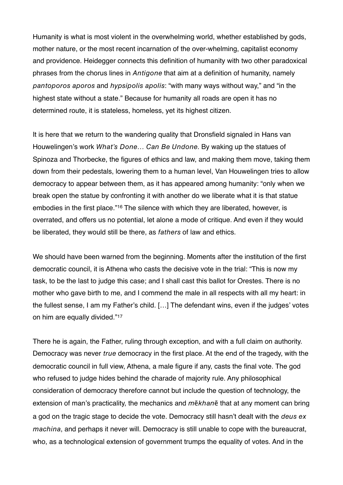Humanity is what is most violent in the overwhelming world, whether established by gods, mother nature, or the most recent incarnation of the over-whelming, capitalist economy and providence. Heidegger connects this definition of humanity with two other paradoxical phrases from the chorus lines in Antigone that aim at a definition of humanity, namely pantoporos aporos and hypsipolis apolis: "with many ways without way," and "in the highest state without a state." Because for humanity all roads are open it has no determined route, it is stateless, homeless, yet its highest citizen.

It is here that we return to the wandering quality that Dronsfield signaled in Hans van Houwelingen's work What's Done… Can Be Undone. By waking up the statues of Spinoza and Thorbecke, the figures of ethics and law, and making them move, taking them down from their pedestals, lowering them to a human level, Van Houwelingen tries to allow democracy to appear between them, as it has appeared among humanity: "only when we break open the statue by confronting it with another do we liberate what it is that statue embodies in the first place."[16](#page-10-15) The silence with which they are liberated, however, is overrated, and offers us no potential, let alone a mode of critique. And even if they would be liberated, they would still be there, as fathers of law and ethics.

We should have been warned from the beginning. Moments after the institution of the first democratic council, it is Athena who casts the decisive vote in the trial: "This is now my task, to be the last to judge this case; and I shall cast this ballot for Orestes. There is no mother who gave birth to me, and I commend the male in all respects with all my heart: in the fullest sense, I am my Father's child. […] The defendant wins, even if the judges' votes on him are equally divided."[17](#page-10-16)

There he is again, the Father, ruling through exception, and with a full claim on authority. Democracy was never true democracy in the first place. At the end of the tragedy, with the democratic council in full view, Athena, a male figure if any, casts the final vote. The god who refused to judge hides behind the charade of majority rule. Any philosophical consideration of democracy therefore cannot but include the question of technology, the extension of man's practicality, the mechanics and  $m\bar{e}khan\bar{e}$  that at any moment can bring a god on the tragic stage to decide the vote. Democracy still hasn't dealt with the deus ex machina, and perhaps it never will. Democracy is still unable to cope with the bureaucrat, who, as a technological extension of government trumps the equality of votes. And in the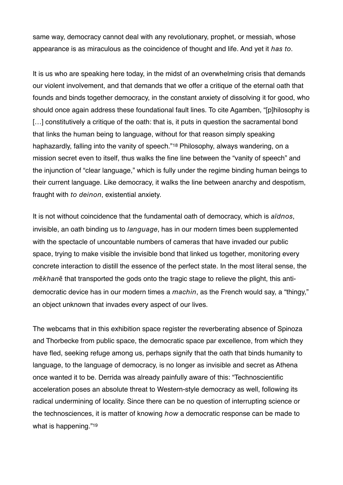same way, democracy cannot deal with any revolutionary, prophet, or messiah, whose appearance is as miraculous as the coincidence of thought and life. And yet it has to.

It is us who are speaking here today, in the midst of an overwhelming crisis that demands our violent involvement, and that demands that we offer a critique of the eternal oath that founds and binds together democracy, in the constant anxiety of dissolving it for good, who should once again address these foundational fault lines. To cite Agamben, "[p]hilosophy is [...] constitutively a critique of the oath: that is, it puts in question the sacramental bond that links the human being to language, without for that reason simply speaking haphazardly, falling into the vanity of speech."<sup>[18](#page-10-17)</sup> Philosophy, always wandering, on a mission secret even to itself, thus walks the fine line between the "vanity of speech" and the injunction of "clear language," which is fully under the regime binding human beings to their current language. Like democracy, it walks the line between anarchy and despotism, fraught with to deinon, existential anxiety.

It is not without coincidence that the fundamental oath of democracy, which is aïdnos, invisible, an oath binding us to language, has in our modern times been supplemented with the spectacle of uncountable numbers of cameras that have invaded our public space, trying to make visible the invisible bond that linked us together, monitoring every concrete interaction to distill the essence of the perfect state. In the most literal sense, the mēkhanē that transported the gods onto the tragic stage to relieve the plight, this antidemocratic device has in our modern times a machin, as the French would say, a "thingy," an object unknown that invades every aspect of our lives.

The webcams that in this exhibition space register the reverberating absence of Spinoza and Thorbecke from public space, the democratic space par excellence, from which they have fled, seeking refuge among us, perhaps signify that the oath that binds humanity to language, to the language of democracy, is no longer as invisible and secret as Athena once wanted it to be. Derrida was already painfully aware of this: "Technoscientific acceleration poses an absolute threat to Western-style democracy as well, following its radical undermining of locality. Since there can be no question of interrupting science or the technosciences, it is matter of knowing how a democratic response can be made to what is happening."<sup>[19](#page-10-18)</sup>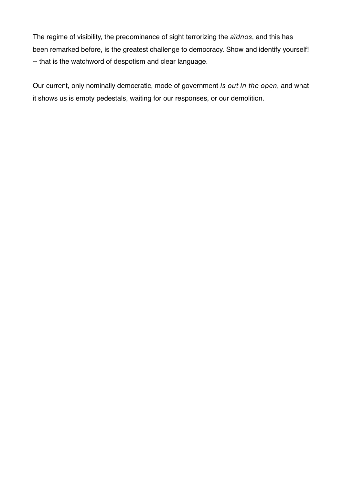The regime of visibility, the predominance of sight terrorizing the aïdnos, and this has been remarked before, is the greatest challenge to democracy. Show and identify yourself! -- that is the watchword of despotism and clear language.

Our current, only nominally democratic, mode of government is out in the open, and what it shows us is empty pedestals, waiting for our responses, or our demolition.